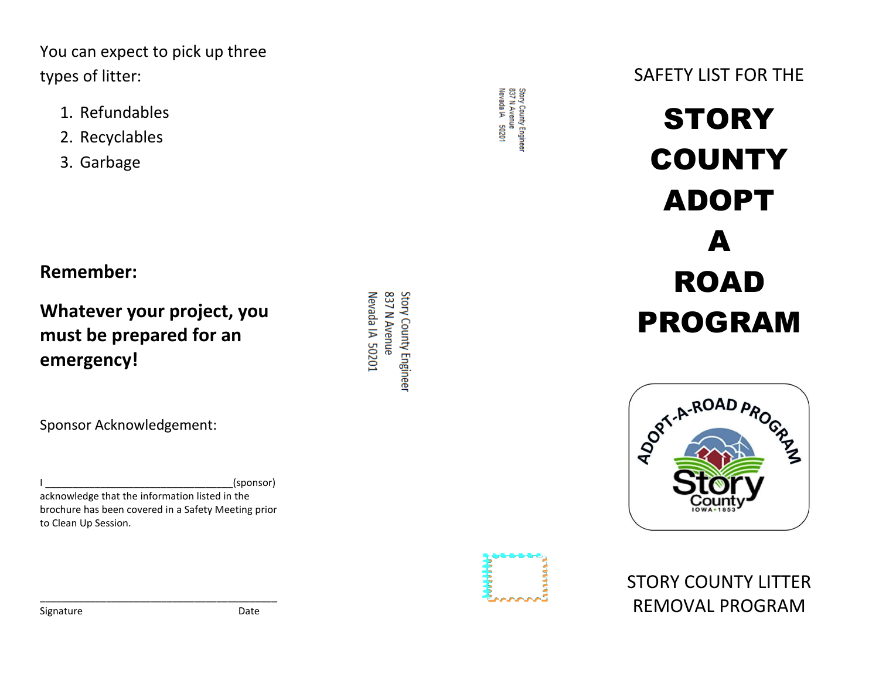You can expect to pick up three types of litter:

- 1. Refundables
- 2. Recyclables
- 3. Garbage

**Remember:**

**emergency!**

**Whatever your project, you must be prepared for an** 

Sponsor Acknowledgement:

(sponsor) acknowledge that the information listed in the brochure has been covered in a Safety Meeting prior to Clean Up Session.

\_\_\_\_\_\_\_\_\_\_\_\_\_\_\_\_\_\_\_\_\_\_\_\_\_\_\_\_\_\_\_\_\_\_\_\_\_\_\_\_\_\_\_

837 N Avenue Story County Engineer Nevada IA 50201

Story County Engineer<br>837 N Avenue Nevada IA 50201

SAFETY LIST FOR THE

## **STORY COUNTY** ADOPT A ROAD PROGRAM





STORY COUNTY LITTER REMOVAL PROGRAM

Signature Date